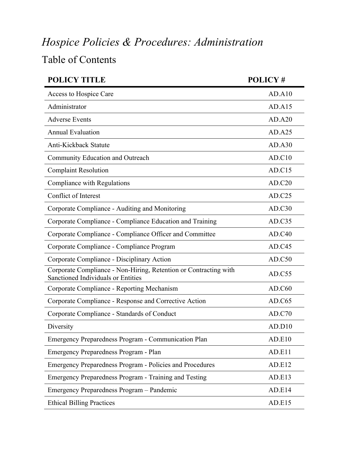## *Hospice Policies & Procedures: Administration*

## Table of Contents

| <b>POLICY TITLE</b>                                                                                    | POLICY# |
|--------------------------------------------------------------------------------------------------------|---------|
| Access to Hospice Care                                                                                 | AD.A10  |
| Administrator                                                                                          | AD.A15  |
| <b>Adverse Events</b>                                                                                  | AD.A20  |
| <b>Annual Evaluation</b>                                                                               | AD.A25  |
| Anti-Kickback Statute                                                                                  | AD.A30  |
| Community Education and Outreach                                                                       | AD.C10  |
| <b>Complaint Resolution</b>                                                                            | AD.C15  |
| Compliance with Regulations                                                                            | AD.C20  |
| Conflict of Interest                                                                                   | AD.C25  |
| Corporate Compliance - Auditing and Monitoring                                                         | AD.C30  |
| Corporate Compliance - Compliance Education and Training                                               | AD.C35  |
| Corporate Compliance - Compliance Officer and Committee                                                | AD.C40  |
| Corporate Compliance - Compliance Program                                                              | AD.C45  |
| Corporate Compliance - Disciplinary Action                                                             | AD.C50  |
| Corporate Compliance - Non-Hiring, Retention or Contracting with<br>Sanctioned Individuals or Entities | AD.C55  |
| Corporate Compliance - Reporting Mechanism                                                             | AD.C60  |
| Corporate Compliance - Response and Corrective Action                                                  | AD.C65  |
| Corporate Compliance - Standards of Conduct                                                            | AD.C70  |
| Diversity                                                                                              | AD.D10  |
| <b>Emergency Preparedness Program - Communication Plan</b>                                             | AD.E10  |
| Emergency Preparedness Program - Plan                                                                  | AD.E11  |
| <b>Emergency Preparedness Program - Policies and Procedures</b>                                        | AD.E12  |
| Emergency Preparedness Program - Training and Testing                                                  | AD.E13  |
| Emergency Preparedness Program - Pandemic                                                              | AD.E14  |
| <b>Ethical Billing Practices</b>                                                                       | AD.E15  |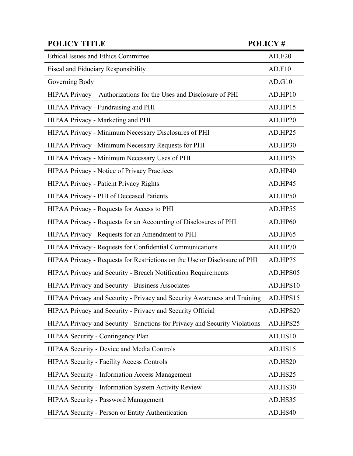| <b>POLICY TITLE</b>                                                        | <b>POLICY#</b> |
|----------------------------------------------------------------------------|----------------|
| <b>Ethical Issues and Ethics Committee</b>                                 | AD.E20         |
| Fiscal and Fiduciary Responsibility                                        | AD.F10         |
| Governing Body                                                             | AD.G10         |
| HIPAA Privacy – Authorizations for the Uses and Disclosure of PHI          | AD.HP10        |
| HIPAA Privacy - Fundraising and PHI                                        | AD.HP15        |
| HIPAA Privacy - Marketing and PHI                                          | AD.HP20        |
| HIPAA Privacy - Minimum Necessary Disclosures of PHI                       | AD.HP25        |
| HIPAA Privacy - Minimum Necessary Requests for PHI                         | AD.HP30        |
| HIPAA Privacy - Minimum Necessary Uses of PHI                              | AD.HP35        |
| <b>HIPAA Privacy - Notice of Privacy Practices</b>                         | AD.HP40        |
| HIPAA Privacy - Patient Privacy Rights                                     | AD.HP45        |
| HIPAA Privacy - PHI of Deceased Patients                                   | AD.HP50        |
| HIPAA Privacy - Requests for Access to PHI                                 | AD.HP55        |
| HIPAA Privacy - Requests for an Accounting of Disclosures of PHI           | AD.HP60        |
| HIPAA Privacy - Requests for an Amendment to PHI                           | AD.HP65        |
| HIPAA Privacy - Requests for Confidential Communications                   | AD.HP70        |
| HIPAA Privacy - Requests for Restrictions on the Use or Disclosure of PHI  | AD.HP75        |
| HIPAA Privacy and Security - Breach Notification Requirements              | AD.HPS05       |
| HIPAA Privacy and Security - Business Associates                           | AD.HPS10       |
| HIPAA Privacy and Security - Privacy and Security Awareness and Training   | AD.HPS15       |
| HIPAA Privacy and Security - Privacy and Security Official                 | AD.HPS20       |
| HIPAA Privacy and Security - Sanctions for Privacy and Security Violations | AD.HPS25       |
| HIPAA Security - Contingency Plan                                          | AD.HS10        |
| HIPAA Security - Device and Media Controls                                 | AD.HS15        |
| <b>HIPAA Security - Facility Access Controls</b>                           | AD.HS20        |
| HIPAA Security - Information Access Management                             | AD.HS25        |
| HIPAA Security - Information System Activity Review                        | AD.HS30        |
| <b>HIPAA Security - Password Management</b>                                | AD.HS35        |
| HIPAA Security - Person or Entity Authentication                           | AD.HS40        |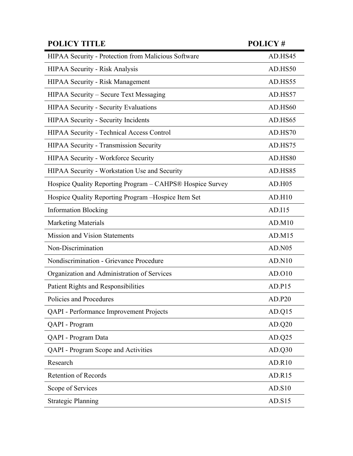| <b>POLICY TITLE</b>                                       | <b>POLICY#</b> |
|-----------------------------------------------------------|----------------|
| HIPAA Security - Protection from Malicious Software       | AD.HS45        |
| <b>HIPAA Security - Risk Analysis</b>                     | AD.HS50        |
| <b>HIPAA Security - Risk Management</b>                   | AD.HS55        |
| HIPAA Security - Secure Text Messaging                    | AD.HS57        |
| <b>HIPAA Security - Security Evaluations</b>              | AD.HS60        |
| <b>HIPAA Security - Security Incidents</b>                | AD.HS65        |
| HIPAA Security - Technical Access Control                 | AD.HS70        |
| HIPAA Security - Transmission Security                    | AD.HS75        |
| HIPAA Security - Workforce Security                       | AD.HS80        |
| HIPAA Security - Workstation Use and Security             | AD.HS85        |
| Hospice Quality Reporting Program - CAHPS® Hospice Survey | AD.H05         |
| Hospice Quality Reporting Program - Hospice Item Set      | AD.H10         |
| <b>Information Blocking</b>                               | AD.I15         |
| <b>Marketing Materials</b>                                | AD.M10         |
| <b>Mission and Vision Statements</b>                      | AD.M15         |
| Non-Discrimination                                        | <b>AD.N05</b>  |
| Nondiscrimination - Grievance Procedure                   | AD.N10         |
| Organization and Administration of Services               | AD.010         |
| Patient Rights and Responsibilities                       | AD.P15         |
| Policies and Procedures                                   | AD.P20         |
| <b>QAPI</b> - Performance Improvement Projects            | AD.Q15         |
| QAPI - Program                                            | AD.Q20         |
| QAPI - Program Data                                       | AD.Q25         |
| <b>QAPI</b> - Program Scope and Activities                | AD.Q30         |
| Research                                                  | <b>AD.R10</b>  |
| <b>Retention of Records</b>                               | AD.R15         |
| Scope of Services                                         | AD.S10         |
| <b>Strategic Planning</b>                                 | AD.S15         |